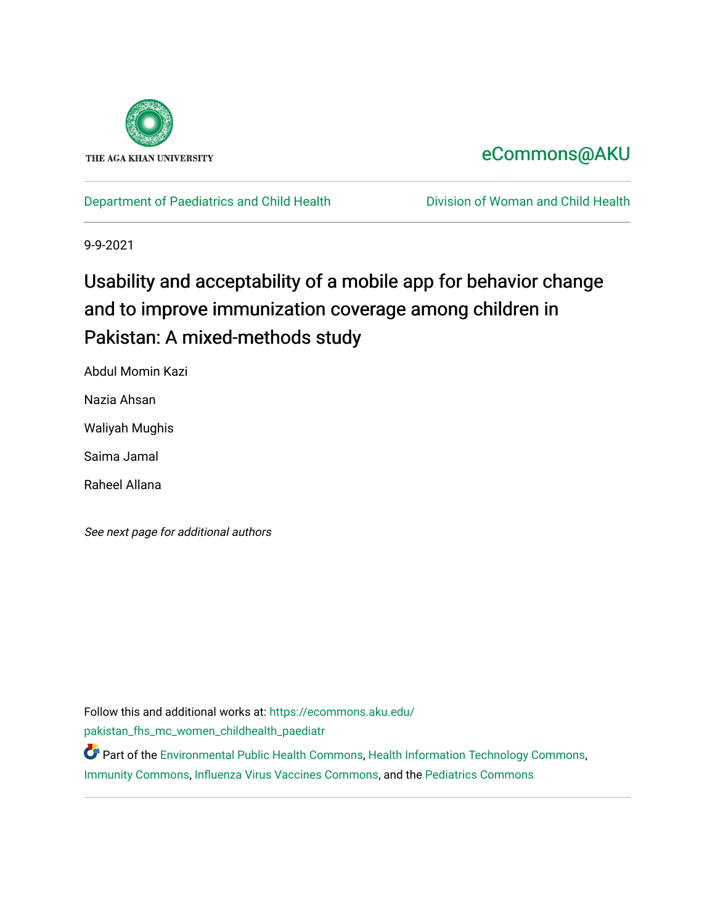

# [eCommons@AKU](https://ecommons.aku.edu/)

[Department of Paediatrics and Child Health](https://ecommons.aku.edu/pakistan_fhs_mc_women_childhealth_paediatr) **Division of Woman and Child Health** 

9-9-2021

# Usability and acceptability of a mobile app for behavior change and to improve immunization coverage among children in Pakistan: A mixed-methods study

Abdul Momin Kazi

Nazia Ahsan

Waliyah Mughis

Saima Jamal

Raheel Allana

See next page for additional authors

Follow this and additional works at: [https://ecommons.aku.edu/](https://ecommons.aku.edu/pakistan_fhs_mc_women_childhealth_paediatr?utm_source=ecommons.aku.edu%2Fpakistan_fhs_mc_women_childhealth_paediatr%2F1066&utm_medium=PDF&utm_campaign=PDFCoverPages) [pakistan\\_fhs\\_mc\\_women\\_childhealth\\_paediatr](https://ecommons.aku.edu/pakistan_fhs_mc_women_childhealth_paediatr?utm_source=ecommons.aku.edu%2Fpakistan_fhs_mc_women_childhealth_paediatr%2F1066&utm_medium=PDF&utm_campaign=PDFCoverPages) 

Part of the [Environmental Public Health Commons](http://network.bepress.com/hgg/discipline/739?utm_source=ecommons.aku.edu%2Fpakistan_fhs_mc_women_childhealth_paediatr%2F1066&utm_medium=PDF&utm_campaign=PDFCoverPages), [Health Information Technology Commons](http://network.bepress.com/hgg/discipline/1239?utm_source=ecommons.aku.edu%2Fpakistan_fhs_mc_women_childhealth_paediatr%2F1066&utm_medium=PDF&utm_campaign=PDFCoverPages), [Immunity Commons](http://network.bepress.com/hgg/discipline/34?utm_source=ecommons.aku.edu%2Fpakistan_fhs_mc_women_childhealth_paediatr%2F1066&utm_medium=PDF&utm_campaign=PDFCoverPages), [Influenza Virus Vaccines Commons](http://network.bepress.com/hgg/discipline/1070?utm_source=ecommons.aku.edu%2Fpakistan_fhs_mc_women_childhealth_paediatr%2F1066&utm_medium=PDF&utm_campaign=PDFCoverPages), and the [Pediatrics Commons](http://network.bepress.com/hgg/discipline/700?utm_source=ecommons.aku.edu%2Fpakistan_fhs_mc_women_childhealth_paediatr%2F1066&utm_medium=PDF&utm_campaign=PDFCoverPages)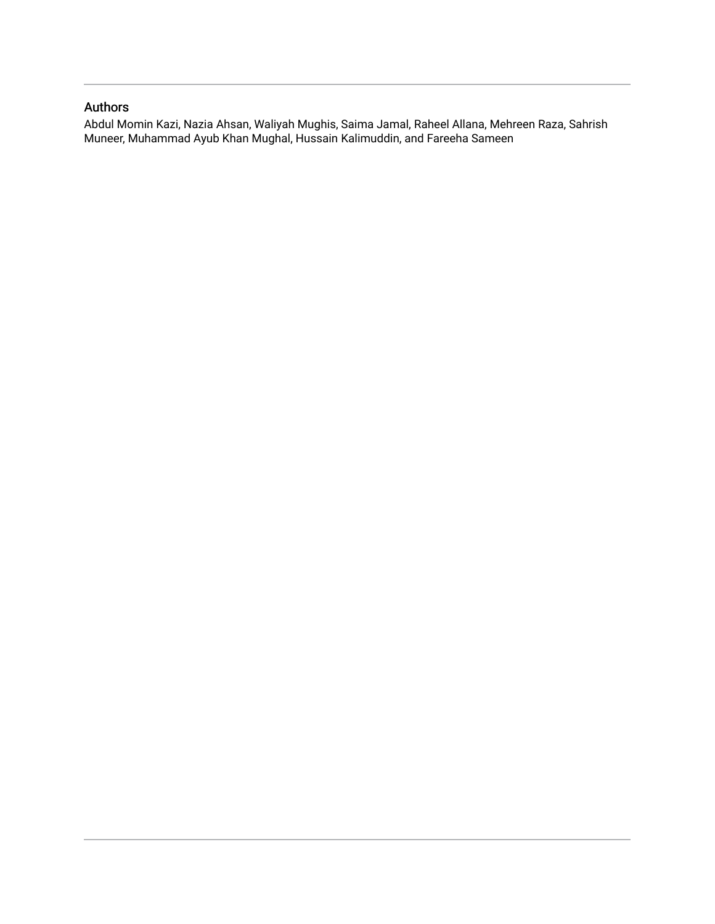# Authors

Abdul Momin Kazi, Nazia Ahsan, Waliyah Mughis, Saima Jamal, Raheel Allana, Mehreen Raza, Sahrish Muneer, Muhammad Ayub Khan Mughal, Hussain Kalimuddin, and Fareeha Sameen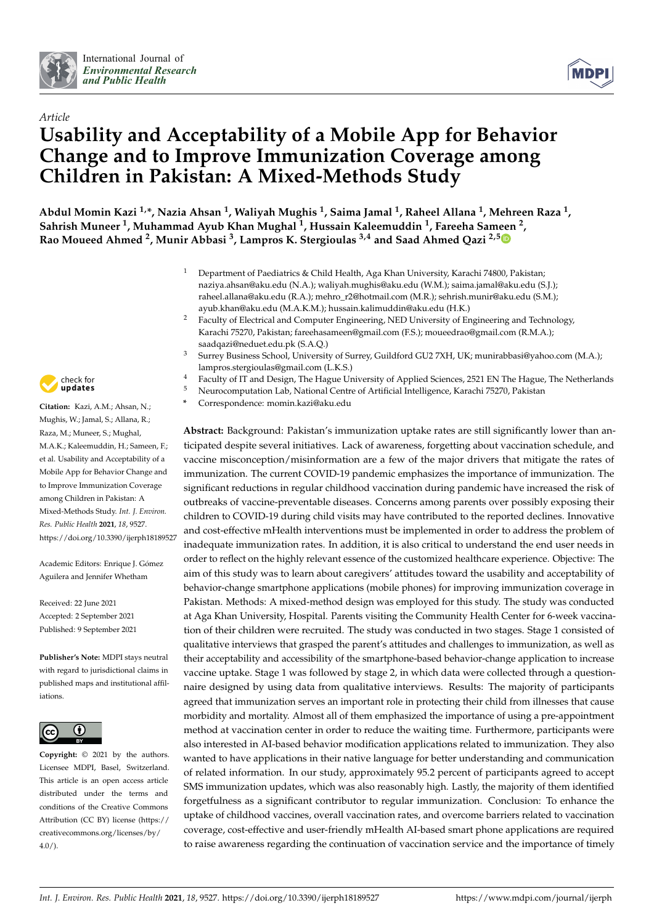



# *Article* **Usability and Acceptability of a Mobile App for Behavior Change and to Improve Immunization Coverage among Children in Pakistan: A Mixed-Methods Study**

**Abdul Momin Kazi 1,\*, Nazia Ahsan <sup>1</sup> , Waliyah Mughis <sup>1</sup> , Saima Jamal <sup>1</sup> , Raheel Allana <sup>1</sup> , Mehreen Raza <sup>1</sup> , Sahrish Muneer <sup>1</sup> , Muhammad Ayub Khan Mughal <sup>1</sup> , Hussain Kaleemuddin <sup>1</sup> , Fareeha Sameen <sup>2</sup> , Rao Moueed Ahmed <sup>2</sup> , Munir Abbasi <sup>3</sup> , Lampros K. Stergioulas 3,4 and Saad Ahmed Qazi 2,[5](https://orcid.org/0000-0002-1522-0677)**

- <sup>1</sup> Department of Paediatrics & Child Health, Aga Khan University, Karachi 74800, Pakistan; naziya.ahsan@aku.edu (N.A.); waliyah.mughis@aku.edu (W.M.); saima.jamal@aku.edu (S.J.); raheel.allana@aku.edu (R.A.); mehro\_r2@hotmail.com (M.R.); sehrish.munir@aku.edu (S.M.); ayub.khan@aku.edu (M.A.K.M.); hussain.kalimuddin@aku.edu (H.K.)
- <sup>2</sup> Faculty of Electrical and Computer Engineering, NED University of Engineering and Technology, Karachi 75270, Pakistan; fareehasameen@gmail.com (F.S.); moueedrao@gmail.com (R.M.A.); saadqazi@neduet.edu.pk (S.A.Q.)
- <sup>3</sup> Surrey Business School, University of Surrey, Guildford GU2 7XH, UK; munirabbasi@yahoo.com (M.A.); lampros.stergioulas@gmail.com (L.K.S.)
- <sup>4</sup> Faculty of IT and Design, The Hague University of Applied Sciences, 2521 EN The Hague, The Netherlands
	- <sup>5</sup> Neurocomputation Lab, National Centre of Artificial Intelligence, Karachi 75270, Pakistan
	- **\*** Correspondence: momin.kazi@aku.edu

**Abstract:** Background: Pakistan's immunization uptake rates are still significantly lower than anticipated despite several initiatives. Lack of awareness, forgetting about vaccination schedule, and vaccine misconception/misinformation are a few of the major drivers that mitigate the rates of immunization. The current COVID-19 pandemic emphasizes the importance of immunization. The significant reductions in regular childhood vaccination during pandemic have increased the risk of outbreaks of vaccine-preventable diseases. Concerns among parents over possibly exposing their children to COVID-19 during child visits may have contributed to the reported declines. Innovative and cost-effective mHealth interventions must be implemented in order to address the problem of inadequate immunization rates. In addition, it is also critical to understand the end user needs in order to reflect on the highly relevant essence of the customized healthcare experience. Objective: The aim of this study was to learn about caregivers' attitudes toward the usability and acceptability of behavior-change smartphone applications (mobile phones) for improving immunization coverage in Pakistan. Methods: A mixed-method design was employed for this study. The study was conducted at Aga Khan University, Hospital. Parents visiting the Community Health Center for 6-week vaccination of their children were recruited. The study was conducted in two stages. Stage 1 consisted of qualitative interviews that grasped the parent's attitudes and challenges to immunization, as well as their acceptability and accessibility of the smartphone-based behavior-change application to increase vaccine uptake. Stage 1 was followed by stage 2, in which data were collected through a questionnaire designed by using data from qualitative interviews. Results: The majority of participants agreed that immunization serves an important role in protecting their child from illnesses that cause morbidity and mortality. Almost all of them emphasized the importance of using a pre-appointment method at vaccination center in order to reduce the waiting time. Furthermore, participants were also interested in AI-based behavior modification applications related to immunization. They also wanted to have applications in their native language for better understanding and communication of related information. In our study, approximately 95.2 percent of participants agreed to accept SMS immunization updates, which was also reasonably high. Lastly, the majority of them identified forgetfulness as a significant contributor to regular immunization. Conclusion: To enhance the uptake of childhood vaccines, overall vaccination rates, and overcome barriers related to vaccination coverage, cost-effective and user-friendly mHealth AI-based smart phone applications are required to raise awareness regarding the continuation of vaccination service and the importance of timely



**Citation:** Kazi, A.M.; Ahsan, N.; Mughis, W.; Jamal, S.; Allana, R.; Raza, M.; Muneer, S.; Mughal, M.A.K.; Kaleemuddin, H.; Sameen, F.; et al. Usability and Acceptability of a Mobile App for Behavior Change and to Improve Immunization Coverage among Children in Pakistan: A Mixed-Methods Study. *Int. J. Environ. Res. Public Health* **2021**, *18*, 9527. <https://doi.org/10.3390/ijerph18189527>

Academic Editors: Enrique J. Gómez Aguilera and Jennifer Whetham

Received: 22 June 2021 Accepted: 2 September 2021 Published: 9 September 2021

**Publisher's Note:** MDPI stays neutral with regard to jurisdictional claims in published maps and institutional affiliations.



**Copyright:** © 2021 by the authors. Licensee MDPI, Basel, Switzerland. This article is an open access article distributed under the terms and conditions of the Creative Commons Attribution (CC BY) license (https:/[/](https://creativecommons.org/licenses/by/4.0/) [creativecommons.org/licenses/by/](https://creativecommons.org/licenses/by/4.0/)  $4.0/$ ).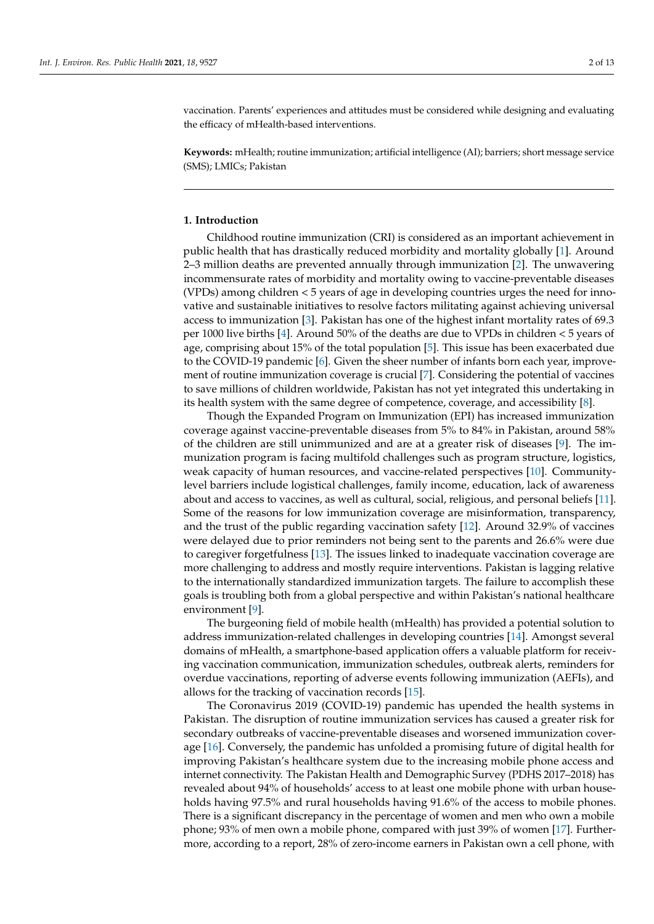vaccination. Parents' experiences and attitudes must be considered while designing and evaluating the efficacy of mHealth-based interventions.

**Keywords:** mHealth; routine immunization; artificial intelligence (AI); barriers; short message service (SMS); LMICs; Pakistan

# **1. Introduction**

Childhood routine immunization (CRI) is considered as an important achievement in public health that has drastically reduced morbidity and mortality globally [\[1\]](#page-13-0). Around 2–3 million deaths are prevented annually through immunization [\[2\]](#page-13-1). The unwavering incommensurate rates of morbidity and mortality owing to vaccine-preventable diseases (VPDs) among children < 5 years of age in developing countries urges the need for innovative and sustainable initiatives to resolve factors militating against achieving universal access to immunization [\[3\]](#page-13-2). Pakistan has one of the highest infant mortality rates of 69.3 per 1000 live births [\[4\]](#page-13-3). Around 50% of the deaths are due to VPDs in children < 5 years of age, comprising about 15% of the total population [\[5\]](#page-13-4). This issue has been exacerbated due to the COVID-19 pandemic [\[6\]](#page-13-5). Given the sheer number of infants born each year, improvement of routine immunization coverage is crucial [\[7\]](#page-13-6). Considering the potential of vaccines to save millions of children worldwide, Pakistan has not yet integrated this undertaking in its health system with the same degree of competence, coverage, and accessibility [\[8\]](#page-13-7).

Though the Expanded Program on Immunization (EPI) has increased immunization coverage against vaccine-preventable diseases from 5% to 84% in Pakistan, around 58% of the children are still unimmunized and are at a greater risk of diseases [\[9\]](#page-13-8). The immunization program is facing multifold challenges such as program structure, logistics, weak capacity of human resources, and vaccine-related perspectives [\[10\]](#page-14-0). Communitylevel barriers include logistical challenges, family income, education, lack of awareness about and access to vaccines, as well as cultural, social, religious, and personal beliefs [\[11\]](#page-14-1). Some of the reasons for low immunization coverage are misinformation, transparency, and the trust of the public regarding vaccination safety [\[12\]](#page-14-2). Around 32.9% of vaccines were delayed due to prior reminders not being sent to the parents and 26.6% were due to caregiver forgetfulness [\[13\]](#page-14-3). The issues linked to inadequate vaccination coverage are more challenging to address and mostly require interventions. Pakistan is lagging relative to the internationally standardized immunization targets. The failure to accomplish these goals is troubling both from a global perspective and within Pakistan's national healthcare environment [\[9\]](#page-13-8).

The burgeoning field of mobile health (mHealth) has provided a potential solution to address immunization-related challenges in developing countries [\[14\]](#page-14-4). Amongst several domains of mHealth, a smartphone-based application offers a valuable platform for receiving vaccination communication, immunization schedules, outbreak alerts, reminders for overdue vaccinations, reporting of adverse events following immunization (AEFIs), and allows for the tracking of vaccination records [\[15\]](#page-14-5).

The Coronavirus 2019 (COVID-19) pandemic has upended the health systems in Pakistan. The disruption of routine immunization services has caused a greater risk for secondary outbreaks of vaccine-preventable diseases and worsened immunization coverage [\[16\]](#page-14-6). Conversely, the pandemic has unfolded a promising future of digital health for improving Pakistan's healthcare system due to the increasing mobile phone access and internet connectivity. The Pakistan Health and Demographic Survey (PDHS 2017–2018) has revealed about 94% of households' access to at least one mobile phone with urban households having 97.5% and rural households having 91.6% of the access to mobile phones. There is a significant discrepancy in the percentage of women and men who own a mobile phone; 93% of men own a mobile phone, compared with just 39% of women [\[17\]](#page-14-7). Furthermore, according to a report, 28% of zero-income earners in Pakistan own a cell phone, with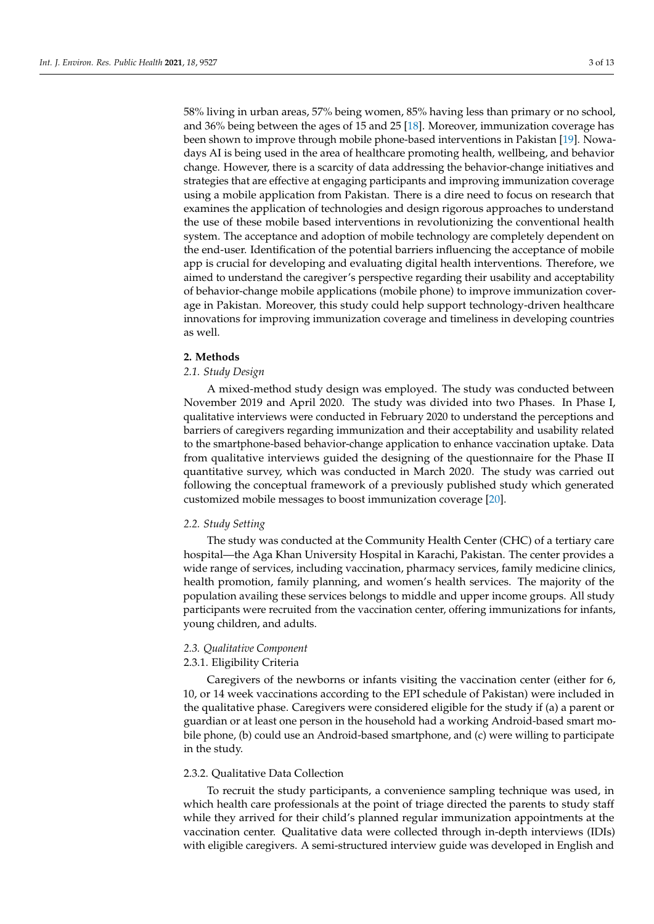58% living in urban areas, 57% being women, 85% having less than primary or no school, and 36% being between the ages of 15 and 25 [\[18\]](#page-14-8). Moreover, immunization coverage has been shown to improve through mobile phone-based interventions in Pakistan [\[19\]](#page-14-9). Nowadays AI is being used in the area of healthcare promoting health, wellbeing, and behavior change. However, there is a scarcity of data addressing the behavior-change initiatives and strategies that are effective at engaging participants and improving immunization coverage using a mobile application from Pakistan. There is a dire need to focus on research that examines the application of technologies and design rigorous approaches to understand the use of these mobile based interventions in revolutionizing the conventional health system. The acceptance and adoption of mobile technology are completely dependent on the end-user. Identification of the potential barriers influencing the acceptance of mobile app is crucial for developing and evaluating digital health interventions. Therefore, we aimed to understand the caregiver's perspective regarding their usability and acceptability of behavior-change mobile applications (mobile phone) to improve immunization coverage in Pakistan. Moreover, this study could help support technology-driven healthcare innovations for improving immunization coverage and timeliness in developing countries as well.

# **2. Methods**

## *2.1. Study Design*

A mixed-method study design was employed. The study was conducted between November 2019 and April 2020. The study was divided into two Phases. In Phase I, qualitative interviews were conducted in February 2020 to understand the perceptions and barriers of caregivers regarding immunization and their acceptability and usability related to the smartphone-based behavior-change application to enhance vaccination uptake. Data from qualitative interviews guided the designing of the questionnaire for the Phase II quantitative survey, which was conducted in March 2020. The study was carried out following the conceptual framework of a previously published study which generated customized mobile messages to boost immunization coverage [\[20\]](#page-14-10).

## *2.2. Study Setting*

The study was conducted at the Community Health Center (CHC) of a tertiary care hospital—the Aga Khan University Hospital in Karachi, Pakistan. The center provides a wide range of services, including vaccination, pharmacy services, family medicine clinics, health promotion, family planning, and women's health services. The majority of the population availing these services belongs to middle and upper income groups. All study participants were recruited from the vaccination center, offering immunizations for infants, young children, and adults.

#### *2.3. Qualitative Component*

#### 2.3.1. Eligibility Criteria

Caregivers of the newborns or infants visiting the vaccination center (either for 6, 10, or 14 week vaccinations according to the EPI schedule of Pakistan) were included in the qualitative phase. Caregivers were considered eligible for the study if (a) a parent or guardian or at least one person in the household had a working Android-based smart mobile phone, (b) could use an Android-based smartphone, and (c) were willing to participate in the study.

# 2.3.2. Qualitative Data Collection

To recruit the study participants, a convenience sampling technique was used, in which health care professionals at the point of triage directed the parents to study staff while they arrived for their child's planned regular immunization appointments at the vaccination center. Qualitative data were collected through in-depth interviews (IDIs) with eligible caregivers. A semi-structured interview guide was developed in English and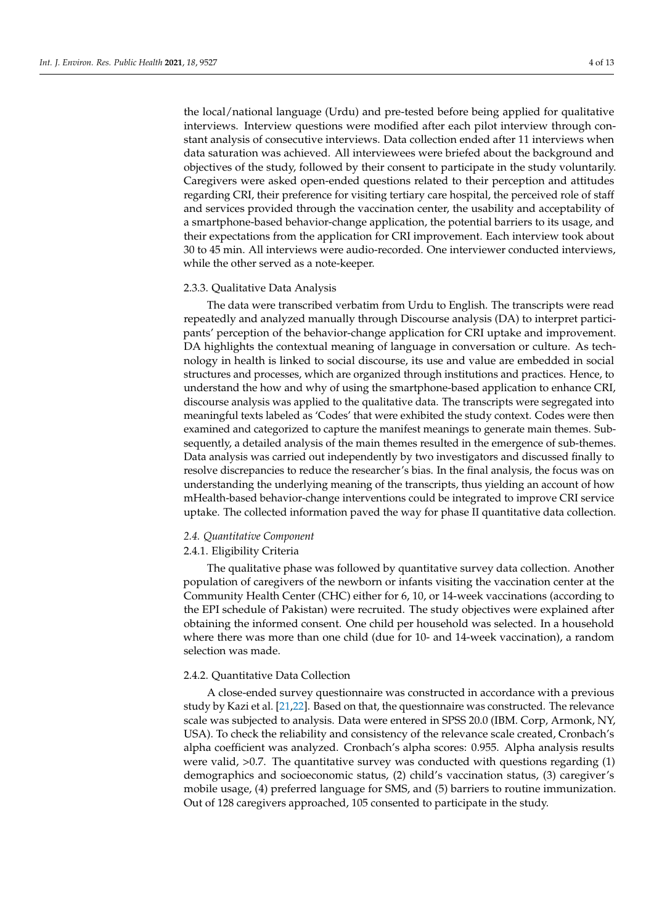the local/national language (Urdu) and pre-tested before being applied for qualitative interviews. Interview questions were modified after each pilot interview through constant analysis of consecutive interviews. Data collection ended after 11 interviews when data saturation was achieved. All interviewees were briefed about the background and objectives of the study, followed by their consent to participate in the study voluntarily. Caregivers were asked open-ended questions related to their perception and attitudes regarding CRI, their preference for visiting tertiary care hospital, the perceived role of staff and services provided through the vaccination center, the usability and acceptability of a smartphone-based behavior-change application, the potential barriers to its usage, and their expectations from the application for CRI improvement. Each interview took about 30 to 45 min. All interviews were audio-recorded. One interviewer conducted interviews, while the other served as a note-keeper.

#### 2.3.3. Qualitative Data Analysis

The data were transcribed verbatim from Urdu to English. The transcripts were read repeatedly and analyzed manually through Discourse analysis (DA) to interpret participants' perception of the behavior-change application for CRI uptake and improvement. DA highlights the contextual meaning of language in conversation or culture. As technology in health is linked to social discourse, its use and value are embedded in social structures and processes, which are organized through institutions and practices. Hence, to understand the how and why of using the smartphone-based application to enhance CRI, discourse analysis was applied to the qualitative data. The transcripts were segregated into meaningful texts labeled as 'Codes' that were exhibited the study context. Codes were then examined and categorized to capture the manifest meanings to generate main themes. Subsequently, a detailed analysis of the main themes resulted in the emergence of sub-themes. Data analysis was carried out independently by two investigators and discussed finally to resolve discrepancies to reduce the researcher's bias. In the final analysis, the focus was on understanding the underlying meaning of the transcripts, thus yielding an account of how mHealth-based behavior-change interventions could be integrated to improve CRI service uptake. The collected information paved the way for phase II quantitative data collection.

#### *2.4. Quantitative Component*

# 2.4.1. Eligibility Criteria

The qualitative phase was followed by quantitative survey data collection. Another population of caregivers of the newborn or infants visiting the vaccination center at the Community Health Center (CHC) either for 6, 10, or 14-week vaccinations (according to the EPI schedule of Pakistan) were recruited. The study objectives were explained after obtaining the informed consent. One child per household was selected. In a household where there was more than one child (due for 10- and 14-week vaccination), a random selection was made.

## 2.4.2. Quantitative Data Collection

A close-ended survey questionnaire was constructed in accordance with a previous study by Kazi et al. [\[21](#page-14-11)[,22\]](#page-14-12). Based on that, the questionnaire was constructed. The relevance scale was subjected to analysis. Data were entered in SPSS 20.0 (IBM. Corp, Armonk, NY, USA). To check the reliability and consistency of the relevance scale created, Cronbach's alpha coefficient was analyzed. Cronbach's alpha scores: 0.955. Alpha analysis results were valid, >0.7. The quantitative survey was conducted with questions regarding (1) demographics and socioeconomic status, (2) child's vaccination status, (3) caregiver's mobile usage, (4) preferred language for SMS, and (5) barriers to routine immunization. Out of 128 caregivers approached, 105 consented to participate in the study.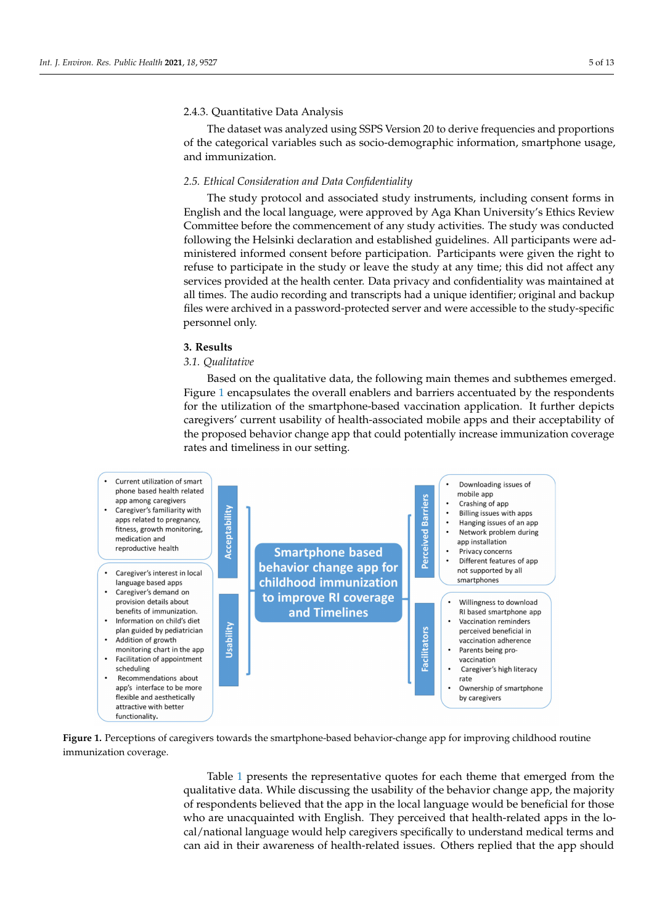# 2.4.3. Quantitative Data Analysis

The dataset was analyzed using SSPS Version 20 to derive frequencies and proportions of the categorical variables such as socio-demographic information, smartphone usage, and immunization.

# *2.5. Ethical Consideration and Data Confidentiality*

The study protocol and associated study instruments, including consent forms in English and the local language, were approved by Aga Khan University's Ethics Review Committee before the commencement of any study activities. The study was conducted following the Helsinki declaration and established guidelines. All participants were administered informed consent before participation. Participants were given the right to refuse to participate in the study or leave the study at any time; this did not affect any services provided at the health center. Data privacy and confidentiality was maintained at all times. The audio recording and transcripts had a unique identifier; original and backup files were archived in a password-protected server and were accessible to the study-specific personnel only.

#### **3. Results**

#### *3.1. Qualitative*

Based on the qualitative data, the following main themes and subthemes emerged. Figure [1](#page-6-0) encapsulates the overall enablers and barriers accentuated by the respondents for the utilization of the smartphone-based vaccination application. It further depicts caregivers' current usability of health-associated mobile apps and their acceptability of the proposed behavior change app that could potentially increase immunization coverage rates and timeliness in our setting.

<span id="page-6-0"></span>

**Figure 1.** Perceptions of caregivers towards the smartphone-based behavior-change app for improving childhood routine immunization coverage.

> Table [1](#page-8-0) presents the representative quotes for each theme that emerged from the qualitative data. While discussing the usability of the behavior change app, the majority of respondents believed that the app in the local language would be beneficial for those who are unacquainted with English. They perceived that health-related apps in the local/national language would help caregivers specifically to understand medical terms and can aid in their awareness of health-related issues. Others replied that the app should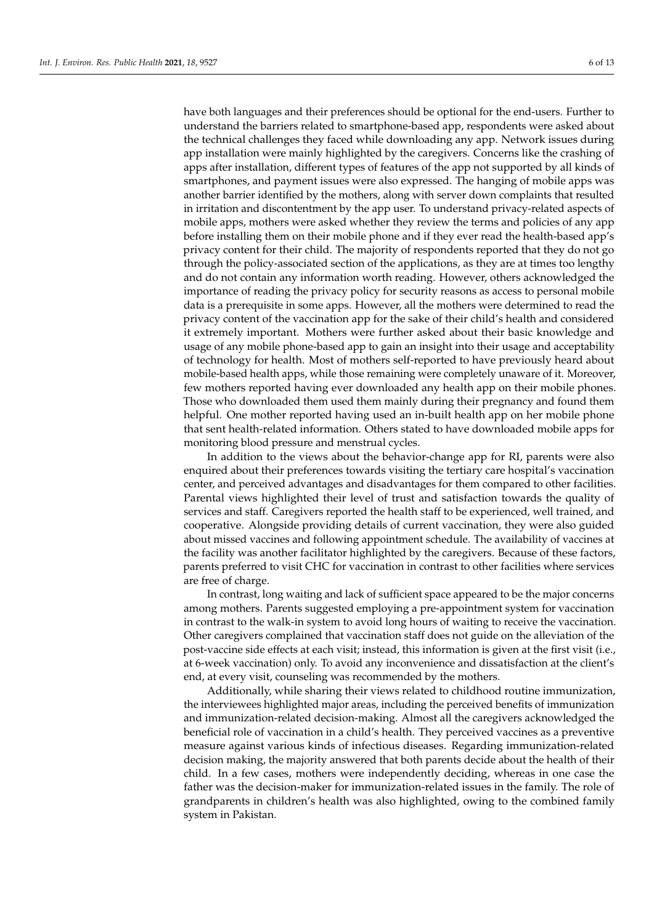have both languages and their preferences should be optional for the end-users. Further to understand the barriers related to smartphone-based app, respondents were asked about the technical challenges they faced while downloading any app. Network issues during app installation were mainly highlighted by the caregivers. Concerns like the crashing of apps after installation, different types of features of the app not supported by all kinds of smartphones, and payment issues were also expressed. The hanging of mobile apps was another barrier identified by the mothers, along with server down complaints that resulted in irritation and discontentment by the app user. To understand privacy-related aspects of mobile apps, mothers were asked whether they review the terms and policies of any app before installing them on their mobile phone and if they ever read the health-based app's privacy content for their child. The majority of respondents reported that they do not go through the policy-associated section of the applications, as they are at times too lengthy and do not contain any information worth reading. However, others acknowledged the importance of reading the privacy policy for security reasons as access to personal mobile data is a prerequisite in some apps. However, all the mothers were determined to read the privacy content of the vaccination app for the sake of their child's health and considered it extremely important. Mothers were further asked about their basic knowledge and usage of any mobile phone-based app to gain an insight into their usage and acceptability of technology for health. Most of mothers self-reported to have previously heard about mobile-based health apps, while those remaining were completely unaware of it. Moreover, few mothers reported having ever downloaded any health app on their mobile phones. Those who downloaded them used them mainly during their pregnancy and found them helpful. One mother reported having used an in-built health app on her mobile phone that sent health-related information. Others stated to have downloaded mobile apps for monitoring blood pressure and menstrual cycles.

In addition to the views about the behavior-change app for RI, parents were also enquired about their preferences towards visiting the tertiary care hospital's vaccination center, and perceived advantages and disadvantages for them compared to other facilities. Parental views highlighted their level of trust and satisfaction towards the quality of services and staff. Caregivers reported the health staff to be experienced, well trained, and cooperative. Alongside providing details of current vaccination, they were also guided about missed vaccines and following appointment schedule. The availability of vaccines at the facility was another facilitator highlighted by the caregivers. Because of these factors, parents preferred to visit CHC for vaccination in contrast to other facilities where services are free of charge.

In contrast, long waiting and lack of sufficient space appeared to be the major concerns among mothers. Parents suggested employing a pre-appointment system for vaccination in contrast to the walk-in system to avoid long hours of waiting to receive the vaccination. Other caregivers complained that vaccination staff does not guide on the alleviation of the post-vaccine side effects at each visit; instead, this information is given at the first visit (i.e., at 6-week vaccination) only. To avoid any inconvenience and dissatisfaction at the client's end, at every visit, counseling was recommended by the mothers.

Additionally, while sharing their views related to childhood routine immunization, the interviewees highlighted major areas, including the perceived benefits of immunization and immunization-related decision-making. Almost all the caregivers acknowledged the beneficial role of vaccination in a child's health. They perceived vaccines as a preventive measure against various kinds of infectious diseases. Regarding immunization-related decision making, the majority answered that both parents decide about the health of their child. In a few cases, mothers were independently deciding, whereas in one case the father was the decision-maker for immunization-related issues in the family. The role of grandparents in children's health was also highlighted, owing to the combined family system in Pakistan.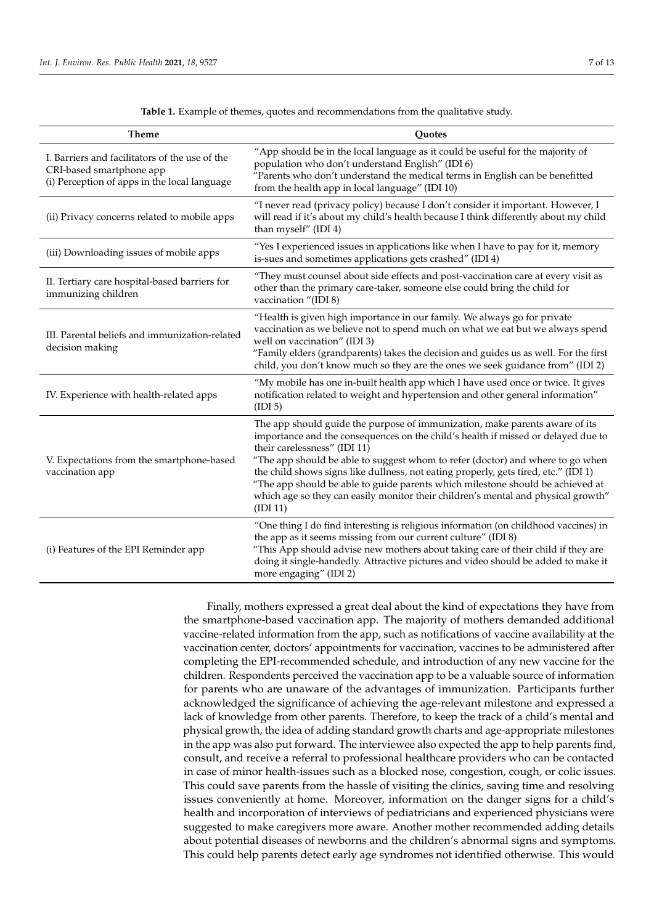<span id="page-8-0"></span>

| <b>Theme</b>                                                                                                               | <b>Quotes</b>                                                                                                                                                                                                                                                                                                                                                                                                                                                                                                                                              |
|----------------------------------------------------------------------------------------------------------------------------|------------------------------------------------------------------------------------------------------------------------------------------------------------------------------------------------------------------------------------------------------------------------------------------------------------------------------------------------------------------------------------------------------------------------------------------------------------------------------------------------------------------------------------------------------------|
| I. Barriers and facilitators of the use of the<br>CRI-based smartphone app<br>(i) Perception of apps in the local language | "App should be in the local language as it could be useful for the majority of<br>population who don't understand English" (IDI 6)<br>"Parents who don't understand the medical terms in English can be benefitted<br>from the health app in local language" (IDI 10)                                                                                                                                                                                                                                                                                      |
| (ii) Privacy concerns related to mobile apps                                                                               | "I never read (privacy policy) because I don't consider it important. However, I<br>will read if it's about my child's health because I think differently about my child<br>than myself" (IDI 4)                                                                                                                                                                                                                                                                                                                                                           |
| (iii) Downloading issues of mobile apps                                                                                    | "Yes I experienced issues in applications like when I have to pay for it, memory<br>is-sues and sometimes applications gets crashed" (IDI 4)                                                                                                                                                                                                                                                                                                                                                                                                               |
| II. Tertiary care hospital-based barriers for<br>immunizing children                                                       | "They must counsel about side effects and post-vaccination care at every visit as<br>other than the primary care-taker, someone else could bring the child for<br>vaccination "(IDI 8)                                                                                                                                                                                                                                                                                                                                                                     |
| III. Parental beliefs and immunization-related<br>decision making                                                          | "Health is given high importance in our family. We always go for private<br>vaccination as we believe not to spend much on what we eat but we always spend<br>well on vaccination" (IDI 3)<br>"Family elders (grandparents) takes the decision and guides us as well. For the first<br>child, you don't know much so they are the ones we seek guidance from" (IDI 2)                                                                                                                                                                                      |
| IV. Experience with health-related apps                                                                                    | "My mobile has one in-built health app which I have used once or twice. It gives<br>notification related to weight and hypertension and other general information"<br>(IDI <sub>5</sub> )                                                                                                                                                                                                                                                                                                                                                                  |
| V. Expectations from the smartphone-based<br>vaccination app                                                               | The app should guide the purpose of immunization, make parents aware of its<br>importance and the consequences on the child's health if missed or delayed due to<br>their carelessness" (IDI 11)<br>"The app should be able to suggest whom to refer (doctor) and where to go when<br>the child shows signs like dullness, not eating properly, gets tired, etc." (IDI 1)<br>"The app should be able to guide parents which milestone should be achieved at<br>which age so they can easily monitor their children's mental and physical growth"<br>(ID11) |
| (i) Features of the EPI Reminder app                                                                                       | "One thing I do find interesting is religious information (on childhood vaccines) in<br>the app as it seems missing from our current culture" (IDI 8)<br>"This App should advise new mothers about taking care of their child if they are<br>doing it single-handedly. Attractive pictures and video should be added to make it<br>more engaging" (IDI 2)                                                                                                                                                                                                  |

**Table 1.** Example of themes, quotes and recommendations from the qualitative study.

Finally, mothers expressed a great deal about the kind of expectations they have from the smartphone-based vaccination app. The majority of mothers demanded additional vaccine-related information from the app, such as notifications of vaccine availability at the vaccination center, doctors' appointments for vaccination, vaccines to be administered after completing the EPI-recommended schedule, and introduction of any new vaccine for the children. Respondents perceived the vaccination app to be a valuable source of information for parents who are unaware of the advantages of immunization. Participants further acknowledged the significance of achieving the age-relevant milestone and expressed a lack of knowledge from other parents. Therefore, to keep the track of a child's mental and physical growth, the idea of adding standard growth charts and age-appropriate milestones in the app was also put forward. The interviewee also expected the app to help parents find, consult, and receive a referral to professional healthcare providers who can be contacted in case of minor health-issues such as a blocked nose, congestion, cough, or colic issues. This could save parents from the hassle of visiting the clinics, saving time and resolving issues conveniently at home. Moreover, information on the danger signs for a child's health and incorporation of interviews of pediatricians and experienced physicians were suggested to make caregivers more aware. Another mother recommended adding details about potential diseases of newborns and the children's abnormal signs and symptoms. This could help parents detect early age syndromes not identified otherwise. This would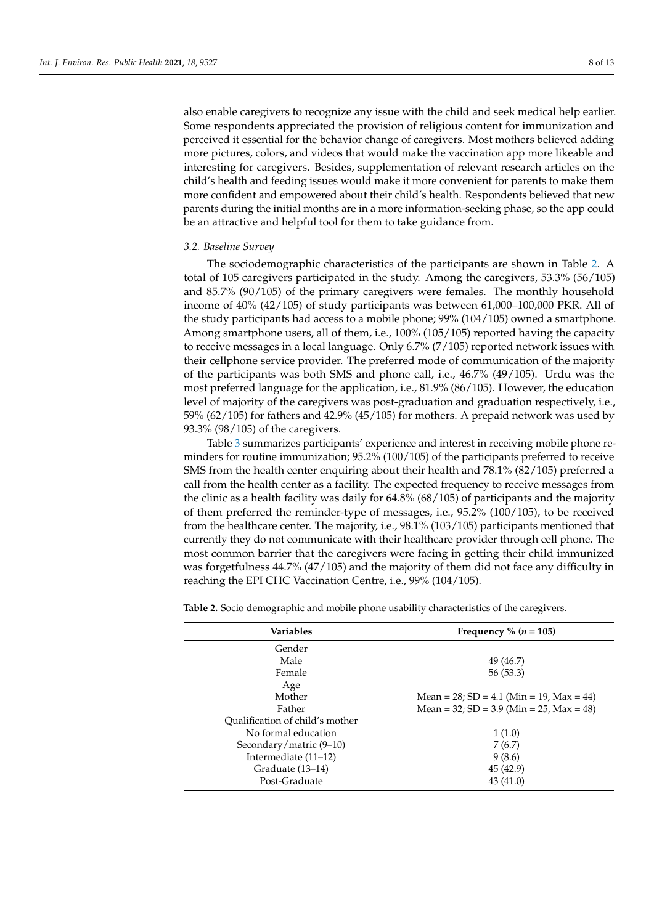also enable caregivers to recognize any issue with the child and seek medical help earlier. Some respondents appreciated the provision of religious content for immunization and perceived it essential for the behavior change of caregivers. Most mothers believed adding more pictures, colors, and videos that would make the vaccination app more likeable and interesting for caregivers. Besides, supplementation of relevant research articles on the child's health and feeding issues would make it more convenient for parents to make them more confident and empowered about their child's health. Respondents believed that new parents during the initial months are in a more information-seeking phase, so the app could be an attractive and helpful tool for them to take guidance from.

## *3.2. Baseline Survey*

The sociodemographic characteristics of the participants are shown in Table [2.](#page-10-0) A total of 105 caregivers participated in the study. Among the caregivers, 53.3% (56/105) and 85.7% (90/105) of the primary caregivers were females. The monthly household income of 40% (42/105) of study participants was between 61,000–100,000 PKR. All of the study participants had access to a mobile phone; 99% (104/105) owned a smartphone. Among smartphone users, all of them, i.e., 100% (105/105) reported having the capacity to receive messages in a local language. Only 6.7% (7/105) reported network issues with their cellphone service provider. The preferred mode of communication of the majority of the participants was both SMS and phone call, i.e., 46.7% (49/105). Urdu was the most preferred language for the application, i.e., 81.9% (86/105). However, the education level of majority of the caregivers was post-graduation and graduation respectively, i.e., 59% (62/105) for fathers and 42.9% (45/105) for mothers. A prepaid network was used by 93.3% (98/105) of the caregivers.

Table [3](#page-10-1) summarizes participants' experience and interest in receiving mobile phone reminders for routine immunization; 95.2% (100/105) of the participants preferred to receive SMS from the health center enquiring about their health and 78.1% (82/105) preferred a call from the health center as a facility. The expected frequency to receive messages from the clinic as a health facility was daily for 64.8% (68/105) of participants and the majority of them preferred the reminder-type of messages, i.e., 95.2% (100/105), to be received from the healthcare center. The majority, i.e., 98.1% (103/105) participants mentioned that currently they do not communicate with their healthcare provider through cell phone. The most common barrier that the caregivers were facing in getting their child immunized was forgetfulness 44.7% (47/105) and the majority of them did not face any difficulty in reaching the EPI CHC Vaccination Centre, i.e., 99% (104/105).

| Variables                       | Frequency % $(n = 105)$                             |
|---------------------------------|-----------------------------------------------------|
| Gender                          |                                                     |
| Male                            | 49 (46.7)                                           |
| Female                          | 56(53.3)                                            |
| Age                             |                                                     |
| Mother                          | Mean = $28$ ; SD = $4.1$ (Min = 19, Max = $44$ )    |
| Father                          | Mean = $32$ ; SD = $3.9$ (Min = $25$ , Max = $48$ ) |
| Qualification of child's mother |                                                     |
| No formal education             | 1(1.0)                                              |
| Secondary/matric (9–10)         | 7(6.7)                                              |
| Intermediate $(11-12)$          | 9(8.6)                                              |
| Graduate (13–14)                | 45 (42.9)                                           |
| Post-Graduate                   | 43 (41.0)                                           |
|                                 |                                                     |

**Table 2.** Socio demographic and mobile phone usability characteristics of the caregivers.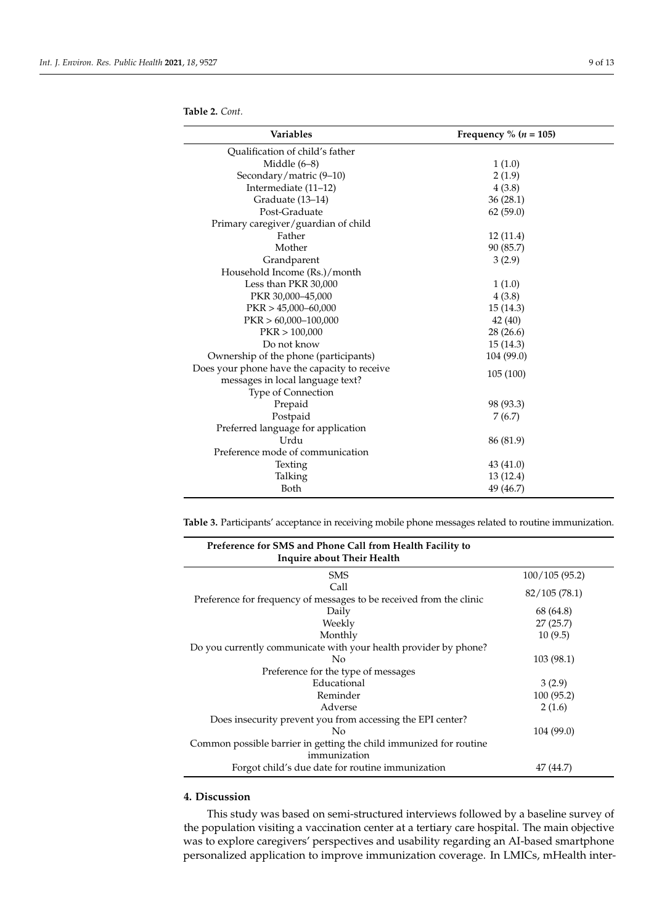<span id="page-10-0"></span>**Table 2.** *Cont.*

| <b>Variables</b>                                                                 | Frequency % ( $n = 105$ ) |
|----------------------------------------------------------------------------------|---------------------------|
| Qualification of child's father                                                  |                           |
| Middle $(6-8)$                                                                   | 1(1.0)                    |
| Secondary/matric (9-10)                                                          | 2(1.9)                    |
| Intermediate (11-12)                                                             | 4(3.8)                    |
| Graduate (13-14)                                                                 | 36(28.1)                  |
| Post-Graduate                                                                    | 62(59.0)                  |
| Primary caregiver/guardian of child                                              |                           |
| Father                                                                           | 12(11.4)                  |
| Mother                                                                           | 90 (85.7)                 |
| Grandparent                                                                      | 3(2.9)                    |
| Household Income (Rs.)/month                                                     |                           |
| Less than PKR 30,000                                                             | 1(1.0)                    |
| PKR 30,000-45,000                                                                | 4(3.8)                    |
| $PKR > 45,000-60,000$                                                            | 15(14.3)                  |
| $PKR > 60,000-100,000$                                                           | 42 (40)                   |
| PKR > 100,000                                                                    | 28(26.6)                  |
| Do not know                                                                      | 15(14.3)                  |
| Ownership of the phone (participants)                                            | 104 (99.0)                |
| Does your phone have the capacity to receive<br>messages in local language text? | 105(100)                  |
| Type of Connection                                                               |                           |
| Prepaid                                                                          | 98 (93.3)                 |
| Postpaid                                                                         | 7(6.7)                    |
| Preferred language for application                                               |                           |
| Urdu                                                                             | 86 (81.9)                 |
| Preference mode of communication                                                 |                           |
| Texting                                                                          | 43 (41.0)                 |
| Talking                                                                          | 13 (12.4)                 |
| Both                                                                             | 49 (46.7)                 |

<span id="page-10-1"></span>**Table 3.** Participants' acceptance in receiving mobile phone messages related to routine immunization.

| Preference for SMS and Phone Call from Health Facility to<br><b>Inquire about Their Health</b> |               |
|------------------------------------------------------------------------------------------------|---------------|
| <b>SMS</b>                                                                                     | 100/105(95.2) |
| Call                                                                                           | 82/105(78.1)  |
| Preference for frequency of messages to be received from the clinic                            |               |
| Daily                                                                                          | 68 (64.8)     |
| Weekly                                                                                         | 27(25.7)      |
| Monthly                                                                                        | 10(9.5)       |
| Do you currently communicate with your health provider by phone?                               |               |
| No                                                                                             | 103 (98.1)    |
| Preference for the type of messages                                                            |               |
| Educational                                                                                    | 3(2.9)        |
| Reminder                                                                                       | 100(95.2)     |
| Adverse                                                                                        | 2(1.6)        |
| Does insecurity prevent you from accessing the EPI center?                                     |               |
| $\overline{N}_{0}$                                                                             | 104 (99.0)    |
| Common possible barrier in getting the child immunized for routine<br>immunization             |               |
| Forgot child's due date for routine immunization                                               | 47 (44.7)     |

# **4. Discussion**

This study was based on semi-structured interviews followed by a baseline survey of the population visiting a vaccination center at a tertiary care hospital. The main objective was to explore caregivers' perspectives and usability regarding an AI-based smartphone personalized application to improve immunization coverage. In LMICs, mHealth inter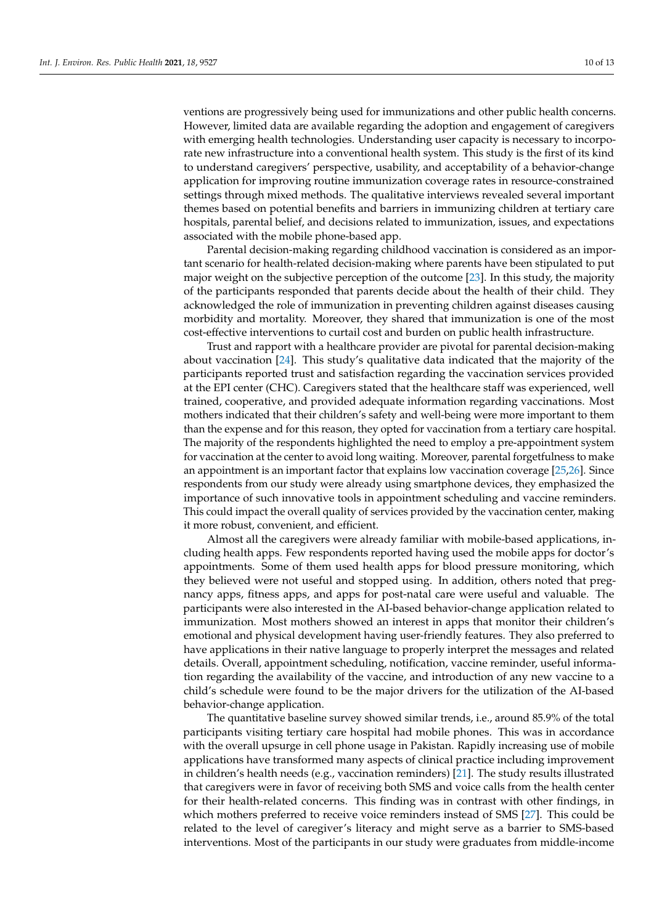ventions are progressively being used for immunizations and other public health concerns. However, limited data are available regarding the adoption and engagement of caregivers with emerging health technologies. Understanding user capacity is necessary to incorporate new infrastructure into a conventional health system. This study is the first of its kind to understand caregivers' perspective, usability, and acceptability of a behavior-change application for improving routine immunization coverage rates in resource-constrained settings through mixed methods. The qualitative interviews revealed several important themes based on potential benefits and barriers in immunizing children at tertiary care hospitals, parental belief, and decisions related to immunization, issues, and expectations associated with the mobile phone-based app.

Parental decision-making regarding childhood vaccination is considered as an important scenario for health-related decision-making where parents have been stipulated to put major weight on the subjective perception of the outcome [\[23\]](#page-14-13). In this study, the majority of the participants responded that parents decide about the health of their child. They acknowledged the role of immunization in preventing children against diseases causing morbidity and mortality. Moreover, they shared that immunization is one of the most cost-effective interventions to curtail cost and burden on public health infrastructure.

Trust and rapport with a healthcare provider are pivotal for parental decision-making about vaccination [\[24\]](#page-14-14). This study's qualitative data indicated that the majority of the participants reported trust and satisfaction regarding the vaccination services provided at the EPI center (CHC). Caregivers stated that the healthcare staff was experienced, well trained, cooperative, and provided adequate information regarding vaccinations. Most mothers indicated that their children's safety and well-being were more important to them than the expense and for this reason, they opted for vaccination from a tertiary care hospital. The majority of the respondents highlighted the need to employ a pre-appointment system for vaccination at the center to avoid long waiting. Moreover, parental forgetfulness to make an appointment is an important factor that explains low vaccination coverage [\[25](#page-14-15)[,26\]](#page-14-16). Since respondents from our study were already using smartphone devices, they emphasized the importance of such innovative tools in appointment scheduling and vaccine reminders. This could impact the overall quality of services provided by the vaccination center, making it more robust, convenient, and efficient.

Almost all the caregivers were already familiar with mobile-based applications, including health apps. Few respondents reported having used the mobile apps for doctor's appointments. Some of them used health apps for blood pressure monitoring, which they believed were not useful and stopped using. In addition, others noted that pregnancy apps, fitness apps, and apps for post-natal care were useful and valuable. The participants were also interested in the AI-based behavior-change application related to immunization. Most mothers showed an interest in apps that monitor their children's emotional and physical development having user-friendly features. They also preferred to have applications in their native language to properly interpret the messages and related details. Overall, appointment scheduling, notification, vaccine reminder, useful information regarding the availability of the vaccine, and introduction of any new vaccine to a child's schedule were found to be the major drivers for the utilization of the AI-based behavior-change application.

The quantitative baseline survey showed similar trends, i.e., around 85.9% of the total participants visiting tertiary care hospital had mobile phones. This was in accordance with the overall upsurge in cell phone usage in Pakistan. Rapidly increasing use of mobile applications have transformed many aspects of clinical practice including improvement in children's health needs (e.g., vaccination reminders) [\[21\]](#page-14-11). The study results illustrated that caregivers were in favor of receiving both SMS and voice calls from the health center for their health-related concerns. This finding was in contrast with other findings, in which mothers preferred to receive voice reminders instead of SMS [\[27\]](#page-14-17). This could be related to the level of caregiver's literacy and might serve as a barrier to SMS-based interventions. Most of the participants in our study were graduates from middle-income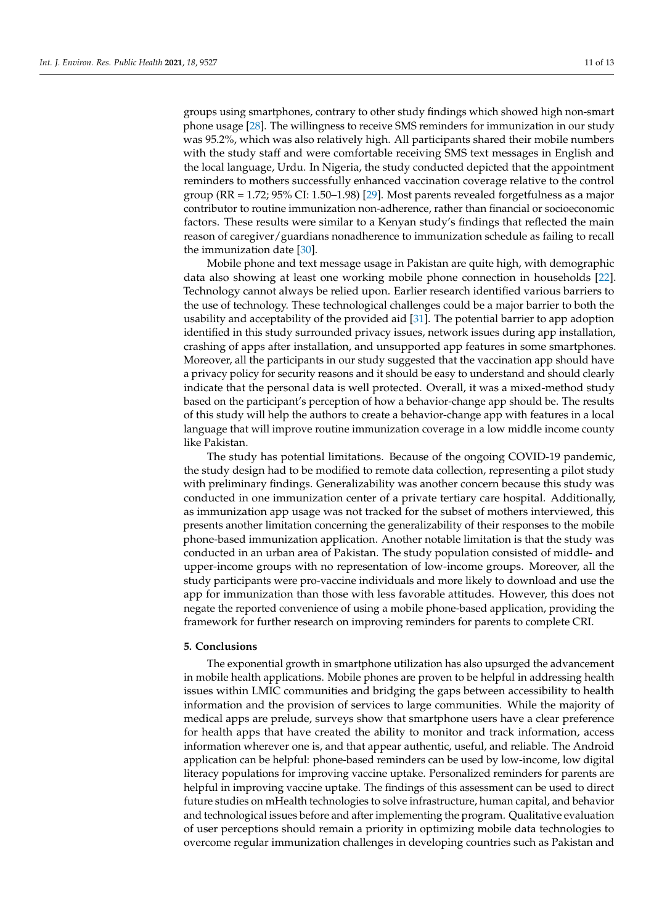groups using smartphones, contrary to other study findings which showed high non-smart phone usage [\[28\]](#page-14-18). The willingness to receive SMS reminders for immunization in our study was 95.2%, which was also relatively high. All participants shared their mobile numbers with the study staff and were comfortable receiving SMS text messages in English and the local language, Urdu. In Nigeria, the study conducted depicted that the appointment reminders to mothers successfully enhanced vaccination coverage relative to the control group (RR = 1.72; 95% CI: 1.50–1.98) [\[29\]](#page-14-19). Most parents revealed forgetfulness as a major contributor to routine immunization non-adherence, rather than financial or socioeconomic factors. These results were similar to a Kenyan study's findings that reflected the main reason of caregiver/guardians nonadherence to immunization schedule as failing to recall the immunization date [\[30\]](#page-14-20).

Mobile phone and text message usage in Pakistan are quite high, with demographic data also showing at least one working mobile phone connection in households [\[22\]](#page-14-12). Technology cannot always be relied upon. Earlier research identified various barriers to the use of technology. These technological challenges could be a major barrier to both the usability and acceptability of the provided aid [\[31\]](#page-14-21). The potential barrier to app adoption identified in this study surrounded privacy issues, network issues during app installation, crashing of apps after installation, and unsupported app features in some smartphones. Moreover, all the participants in our study suggested that the vaccination app should have a privacy policy for security reasons and it should be easy to understand and should clearly indicate that the personal data is well protected. Overall, it was a mixed-method study based on the participant's perception of how a behavior-change app should be. The results of this study will help the authors to create a behavior-change app with features in a local language that will improve routine immunization coverage in a low middle income county like Pakistan.

The study has potential limitations. Because of the ongoing COVID-19 pandemic, the study design had to be modified to remote data collection, representing a pilot study with preliminary findings. Generalizability was another concern because this study was conducted in one immunization center of a private tertiary care hospital. Additionally, as immunization app usage was not tracked for the subset of mothers interviewed, this presents another limitation concerning the generalizability of their responses to the mobile phone-based immunization application. Another notable limitation is that the study was conducted in an urban area of Pakistan. The study population consisted of middle- and upper-income groups with no representation of low-income groups. Moreover, all the study participants were pro-vaccine individuals and more likely to download and use the app for immunization than those with less favorable attitudes. However, this does not negate the reported convenience of using a mobile phone-based application, providing the framework for further research on improving reminders for parents to complete CRI.

# **5. Conclusions**

The exponential growth in smartphone utilization has also upsurged the advancement in mobile health applications. Mobile phones are proven to be helpful in addressing health issues within LMIC communities and bridging the gaps between accessibility to health information and the provision of services to large communities. While the majority of medical apps are prelude, surveys show that smartphone users have a clear preference for health apps that have created the ability to monitor and track information, access information wherever one is, and that appear authentic, useful, and reliable. The Android application can be helpful: phone-based reminders can be used by low-income, low digital literacy populations for improving vaccine uptake. Personalized reminders for parents are helpful in improving vaccine uptake. The findings of this assessment can be used to direct future studies on mHealth technologies to solve infrastructure, human capital, and behavior and technological issues before and after implementing the program. Qualitative evaluation of user perceptions should remain a priority in optimizing mobile data technologies to overcome regular immunization challenges in developing countries such as Pakistan and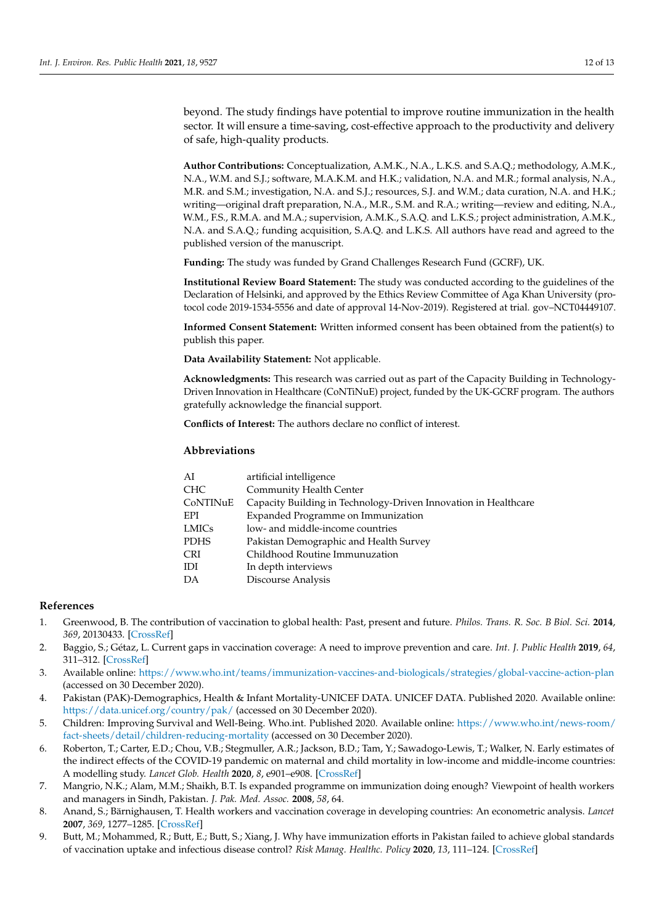beyond. The study findings have potential to improve routine immunization in the health sector. It will ensure a time-saving, cost-effective approach to the productivity and delivery of safe, high-quality products.

**Author Contributions:** Conceptualization, A.M.K., N.A., L.K.S. and S.A.Q.; methodology, A.M.K., N.A., W.M. and S.J.; software, M.A.K.M. and H.K.; validation, N.A. and M.R.; formal analysis, N.A., M.R. and S.M.; investigation, N.A. and S.J.; resources, S.J. and W.M.; data curation, N.A. and H.K.; writing—original draft preparation, N.A., M.R., S.M. and R.A.; writing—review and editing, N.A., W.M., F.S., R.M.A. and M.A.; supervision, A.M.K., S.A.Q. and L.K.S.; project administration, A.M.K., N.A. and S.A.Q.; funding acquisition, S.A.Q. and L.K.S. All authors have read and agreed to the published version of the manuscript.

**Funding:** The study was funded by Grand Challenges Research Fund (GCRF), UK.

**Institutional Review Board Statement:** The study was conducted according to the guidelines of the Declaration of Helsinki, and approved by the Ethics Review Committee of Aga Khan University (protocol code 2019-1534-5556 and date of approval 14-Nov-2019). Registered at trial. gov–NCT04449107.

**Informed Consent Statement:** Written informed consent has been obtained from the patient(s) to publish this paper.

**Data Availability Statement:** Not applicable.

**Acknowledgments:** This research was carried out as part of the Capacity Building in Technology-Driven Innovation in Healthcare (CoNTiNuE) project, funded by the UK-GCRF program. The authors gratefully acknowledge the financial support.

**Conflicts of Interest:** The authors declare no conflict of interest.

# **Abbreviations**

| AI          | artificial intelligence                                         |
|-------------|-----------------------------------------------------------------|
| <b>CHC</b>  | Community Health Center                                         |
| CoNTINuE    | Capacity Building in Technology-Driven Innovation in Healthcare |
| EPI         | Expanded Programme on Immunization                              |
| LMICs       | low- and middle-income countries                                |
| <b>PDHS</b> | Pakistan Demographic and Health Survey                          |
| <b>CRI</b>  | Childhood Routine Immunuzation                                  |
| IDI         | In depth interviews                                             |
| DA          | Discourse Analysis                                              |

# **References**

- <span id="page-13-0"></span>1. Greenwood, B. The contribution of vaccination to global health: Past, present and future. *Philos. Trans. R. Soc. B Biol. Sci.* **2014**, *369*, 20130433. [\[CrossRef\]](http://doi.org/10.1098/rstb.2013.0433)
- <span id="page-13-1"></span>2. Baggio, S.; Gétaz, L. Current gaps in vaccination coverage: A need to improve prevention and care. *Int. J. Public Health* **2019**, *64*, 311–312. [\[CrossRef\]](http://doi.org/10.1007/s00038-019-01221-4)
- <span id="page-13-2"></span>3. Available online: <https://www.who.int/teams/immunization-vaccines-and-biologicals/strategies/global-vaccine-action-plan> (accessed on 30 December 2020).
- <span id="page-13-3"></span>4. Pakistan (PAK)-Demographics, Health & Infant Mortality-UNICEF DATA. UNICEF DATA. Published 2020. Available online: <https://data.unicef.org/country/pak/> (accessed on 30 December 2020).
- <span id="page-13-4"></span>5. Children: Improving Survival and Well-Being. Who.int. Published 2020. Available online: [https://www.who.int/news-room/](https://www.who.int/news-room/fact-sheets/detail/children-reducing-mortality) [fact-sheets/detail/children-reducing-mortality](https://www.who.int/news-room/fact-sheets/detail/children-reducing-mortality) (accessed on 30 December 2020).
- <span id="page-13-5"></span>6. Roberton, T.; Carter, E.D.; Chou, V.B.; Stegmuller, A.R.; Jackson, B.D.; Tam, Y.; Sawadogo-Lewis, T.; Walker, N. Early estimates of the indirect effects of the COVID-19 pandemic on maternal and child mortality in low-income and middle-income countries: A modelling study. *Lancet Glob. Health* **2020**, *8*, e901–e908. [\[CrossRef\]](http://doi.org/10.1016/S2214-109X(20)30229-1)
- <span id="page-13-6"></span>7. Mangrio, N.K.; Alam, M.M.; Shaikh, B.T. Is expanded programme on immunization doing enough? Viewpoint of health workers and managers in Sindh, Pakistan. *J. Pak. Med. Assoc.* **2008**, *58*, 64.
- <span id="page-13-7"></span>8. Anand, S.; Bärnighausen, T. Health workers and vaccination coverage in developing countries: An econometric analysis. *Lancet* **2007**, *369*, 1277–1285. [\[CrossRef\]](http://doi.org/10.1016/S0140-6736(07)60599-6)
- <span id="page-13-8"></span>9. Butt, M.; Mohammed, R.; Butt, E.; Butt, S.; Xiang, J. Why have immunization efforts in Pakistan failed to achieve global standards of vaccination uptake and infectious disease control? *Risk Manag. Healthc. Policy* **2020**, *13*, 111–124. [\[CrossRef\]](http://doi.org/10.2147/RMHP.S211170)